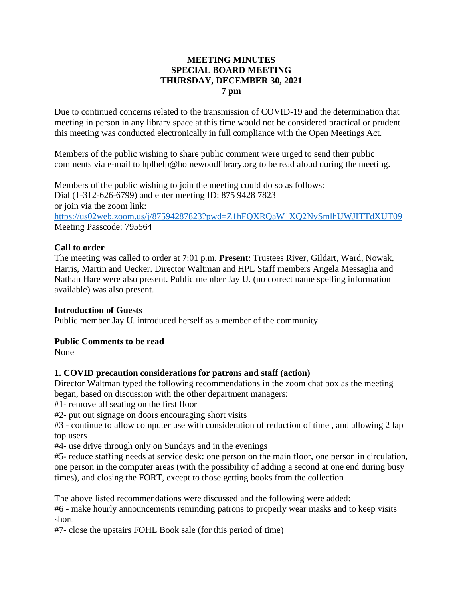#### **MEETING MINUTES SPECIAL BOARD MEETING THURSDAY, DECEMBER 30, 2021 7 pm**

Due to continued concerns related to the transmission of COVID-19 and the determination that meeting in person in any library space at this time would not be considered practical or prudent this meeting was conducted electronically in full compliance with the Open Meetings Act.

Members of the public wishing to share public comment were urged to send their public comments via e-mail to hplhelp@homewoodlibrary.org to be read aloud during the meeting.

Members of the public wishing to join the meeting could do so as follows: Dial (1-312-626-6799) and enter meeting ID: 875 9428 7823 or join via the zoom link: <https://us02web.zoom.us/j/87594287823?pwd=Z1hFQXRQaW1XQ2NvSmlhUWJITTdXUT09> Meeting Passcode: 795564

## **Call to order**

The meeting was called to order at 7:01 p.m. **Present**: Trustees River, Gildart, Ward, Nowak, Harris, Martin and Uecker. Director Waltman and HPL Staff members Angela Messaglia and Nathan Hare were also present. Public member Jay U. (no correct name spelling information available) was also present.

#### **Introduction of Guests** –

Public member Jay U. introduced herself as a member of the community

#### **Public Comments to be read**

None

## **1. COVID precaution considerations for patrons and staff (action)**

Director Waltman typed the following recommendations in the zoom chat box as the meeting began, based on discussion with the other department managers:

#1- remove all seating on the first floor

#2- put out signage on doors encouraging short visits

#3 - continue to allow computer use with consideration of reduction of time , and allowing 2 lap top users

#4- use drive through only on Sundays and in the evenings

#5- reduce staffing needs at service desk: one person on the main floor, one person in circulation, one person in the computer areas (with the possibility of adding a second at one end during busy times), and closing the FORT, except to those getting books from the collection

The above listed recommendations were discussed and the following were added:

#6 - make hourly announcements reminding patrons to properly wear masks and to keep visits short

#7- close the upstairs FOHL Book sale (for this period of time)